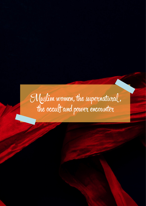# Muslim women, the supernatural , the occult and power encounter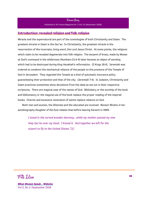

Published in St Francis Magazine Nr. 2 Vol. IV (September 2008)

# **Introduction: revealed religion and folk religion**

Miracle and the supernatural are part of the cosmologies of both Christianity and Islam. The greatest miracle in Islam is the Qur'an. In Christianity, the greatest miracle is the resurrection of the incarnate, living word, the Lord Jesus Christ. At some points, the religions which claim to be revealed degenerate into folk religion. The serpent of brass, made by Moses at God's command in the wilderness (Numbers 21:4-9) later became an object of worship, which had to be destroyed during King Hezekiah's reformation. (2 Kings 18:4). Jeremiah was ordered to condemn the mechanical reliance of the people on the presence of the Temple of God in Jerusalem. They regarded the Temple as a kind of automatic insurance policy guaranteeing their protection and that of the city. (Jeremiah 7:4). In Judaism, Christianity and Islam practices sometimes show deviations from the ideal as set out in their respective scriptures. There are magical uses of the names of God. Bibliolatry or the worship of the book and bibliomancy or the magical use of the book replace the proper reading of the inspired books. Charms and excessive veneration of saints replace reliance on God.

Both men and women, the illiterate and the educated are involved. Benazir Bhutto in her autobiography *Daughter of the East* relates that before leaving Karachi in 1969:

*I stood in the carved wooden doorway...while my mother passed my new Holy Qur'an over my head. I kissed it. And together we left for the airport to fly to the United States."[1]*

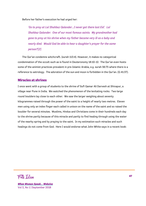Before her father's execution he had urged her:

*'Go to pray at Lal Shahbaz Qalander...I never got there last Eid'. Lal Shahbaz Qalander. One of our most famous saints. My grandmother had gone to pray at his shrine when my father became very ill as a baby and nearly died. Would God be able to hear a daughter's prayer for the same person?[2]* 

The Qur'an condemns witchcraft. (surah 113:4). However, it makes no categorical condemnation of the occult such as is found in Deuteronomy 18:10-12. The Qur'an even hosts some of the animist practices prevalent in pre-Islamic Arabia, e.g. surah 56:75 where there is a reference to astrology. The adoration of the sun and moon is forbidden in the Qur'an. (Q 41:37).

# **Miracles at shrines**

I once went with a group of students to the shrine of Sufi Qamar Ali Darvesh at Shivapur, a village near Pune in India. We watched the phenomenon of the levitating rocks. Two large round boulders lay close to each other. We saw the larger weighing about seventy kilogrammes raised through the power of the saint to a height of nearly two metres. Eleven men using only an index finger each called in unison on the name of the saint and so raised the boulder for several minutes. Muslims, Hindus and Christians come in their hundreds each day to the shrine partly because of this miracle and partly to find healing through using the water of the nearby spring and by praying to the saint. In my estimation such miracles and such healings do not come from God. Here I would endorse what John White says in a recent book:

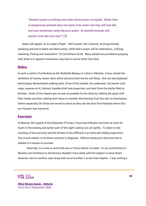*"Demonic power is nothing more than divine power corrupted. Water that is dangerously polluted does not cease to be water and may still look like, and even sometimes taste like pure water. So devilish miracles will deceive 'even the very elect'".[3]* 

Satan will appear 'as an angel of light'. Hell's power will, however, be progressively enslaving and end in death and destruction, while God's power will be redemptive, vivifying, cleansing, freeing and restorative." (2 Corinthians 11:14). Many people have problems grasping that what is or appears miraculous may have a source other than God.

### **Relics**

In such a centre of orthodoxy as the Badshahi Mosque in Lahore, Pakistan, I have visited the exhibition of twenty-seven relics which attracts both Sunnis and Shias. One can see displayed behind glass Muhammad's walking stick, three of his sandals, his underwear, his banner with magic squares on it, Fatima's handkerchief and prayermat, and dust from the battle-field at Karbala. Some of the viewers get as near as possible to the relics by rubbing the glass with their hands and then rubbing their faces to transfer the blessing from the relic to themselves. Others especially the Shias are moved to tears as they see the dust from Karbala where Ali's son Hussain was martyred.

#### **Exorcism**

In Muscat, the capital of the Sultanate of Oman, I have heard Muslim exorcists at work for hours in the evening and earlier part of the night casting out evil spirits. To listen to the chanting of the exorcists and the shrieks of the afflicted is an eerie and chilling experience. The crucial matter in Christian exorcism is diagnosis. Without being sure that exorcism is needed it is unwise to proceed.

Generally, it is wise to work with two or three others in a team. In my contribution to *Muslims and Christians on the Emmaus Road*[4] I have dealt with the subject in some detail. However, here is another case study that occurred after I wrote that chapter. I was visiting a

Folk Islam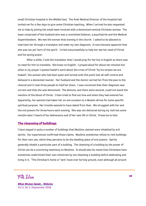small Christian hospital in the Middle East. The Arab Medical Director of the hospital had invited me for a few days to give some Christian teaching. When I arrived he also requested me to help by joining the small team involved with a demonized nominal Christian woman. The team comprised of the husband who was a committed believer, a psychiatrist and the Medical Superintendent. We met the woman that evening in the church. I asked to be allowed to interview her through a translator and make my own diagnosis. It soon became apparent that she was not yet 'born of the spirit'. I tried unsuccessfully to help her see her need of Christ and his saving power.

After a while, I told the translator that I would pray for her but in English so there was no need for him to translate. She knew no English. I prayed aloud for about ten minutes but when in my prayer I quoted Isaiah's word about the cross of Christ "by his stripes we are healed", the woman who had been quiet and normal until this point lost all self-control and behaved in a demented manner. Her husband and the doctor carried her from the pew to the chancel and it took three people to hold her down. I was convinced that their diagnosis was correct and that she was demonized. The demons, and there were several, could not stand the mention of the blood of Christ. I then tried to find out how and when they had entered her. Apparently, her parents had taken her on one occasion to a Muslim shrine for some specific spiritual purpose. Her trouble seemed to have dated from then. We struggled with her and the evil powers for three hours each evening. She was not delivered during my visit but some months later I heard of her deliverance and of her new life in Christ. Praise be to God.

### **The cleansing of buildings**

I have stayed in quite a number of buildings that Muslims claimed were inhabited by evil spirits. Our experiences confirmed these claims. Muslims sometimes refuse to rent buildings for their own use, which they perceive to be the dwelling place of evil powers. Spirits generally inhabit a particular part of a building. The cleansing of a building by the power of Christ can be a convincing testimony to Muslims. It should also be noted that Christians have sometimes undermined their own ministries by not cleansing a building before dedicating and living in it. "The Christian's home or 'tent' must ever be holy ground, even although all around

Folk Islam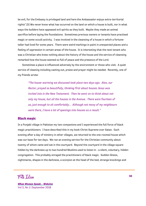be evil, for the Embassy is privileged land and here the Ambassador enjoys extra-territorial rights".[5] We never know what has occurred on the land on which a house is built, nor in what ways the builders have appeased evil spirits as they built. Maybe they made an animal sacrifice before laying the foundations. Sometimes previous owners or tenants have practised magic or some occult activity. I was involved in the cleansing of a house in which a fortuneteller had lived for some years. There were weird markings in paint in unexpected places and a feeling of oppression in certain areas of the house. It is interesting that the next tenant who was a Christian who knew nothing about the history of the house and the service of cleansing remarked how the house seemed so full of peace and the presence of the Lord.

Sometimes a place is influenced adversely by the environment or those who visit. A quiet service of cleaning including casting out, praise and prayer might be needed. Recently, one of my friends wrote:

*"The house-warming we discussed took place two days ago. Alan, our Rector, prayed so beautifully, thinking first about houses Jesus was invited into in the New Testament. Then he went on to think about not only my house, but all the houses in the Avenue. There were fourteen of us, just enough to sit comfortably... Although not many of my neighbours were there, I have a lot of openings into houses as a result."* 

## **Black magic**

In a Punjabi village in Pakistan my two companions and I experienced the full force of black magic practitioners. I have described this in my book Christ Supreme over Satan. Each evening after a day of ministry in other villages, we returned to the one-roomed house which was our base for ten days. We ran an evening service for the Christian community about twenty of whom came and sat in the courtyard. Beyond the courtyard in the village square hidden by the darkness up to two hundred Muslims used to listen in - a silent, voluntary, hidden congregation. This probably enraged the practitioners of black magic. Sudden illness, nightmares, shapes in the darkness, a scorpion at the head of the bed, strange knockings and

Folk Islam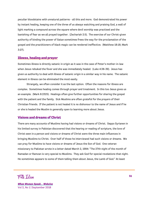peculiar bloodstains with unnatural patterns - all this and more. God demonstrated his power by instant healing, keeping one of the three of us always watching and praising God, a wall of light marking a compound across the square where devil worship was practised and the banishing of fear as we all prayed together. (Zechariah 2:5). The exercise of our Christ-given authority of binding the power of Satan sometimes frees the way for the proclamation of the gospel and the practitioners of black magic can be rendered ineffective. (Matthew 18:18; Mark 3:27).

## **Illness, healing and prayer**

Sometimes illness is directly satanic in origin as it was in the case of Peter's mother-in-law when Jesus rebuked the fever and she was immediately healed. (Luke 4:38-39). Jesus has given us authority to deal with illness of satanic origin in a similar way in his name. The satanic element in illness can be eliminated the most easily.

Strangely, we often consider it as the last option. Often the reasons for illness are complex. Sometimes healing comes through prayer and treatment. In this too Jesus gives us an example. (Mark 8:2325). Healings often give further opportunities for sharing the gospel with the patient and the family. Sick Muslims are often grateful for the prayers of their Christian friends. If the patient is not healed it is no dishonour to the name of Jesus and if he or she is healed the Muslim is generally open to learning more about Jesus.

# **Visions and dreams of Christ**

There are many accounts of Muslims having had visions or dreams of Christ. Seppo Syrianen in his limited survey in Pakistan discovered that the hearing or reading of scripture, the love of Christ seen in a person and visions or dreams of Christ were the three main influences in bringing Muslims to Christ. Over half of those he interviewed had such visions or dreams. We can pray for Muslims to have visions or dreams of Jesus the Son of God. One veteran missionary to Pakistan wrote in a letter dated March 2, 1994: "The 27th night of the month of Ramadan or Ramzan is very special to Muslims. They ask God for special revelations that night. He sometimes appears to some of them telling them about Jesus, the Lamb of God." At least

Folk Islam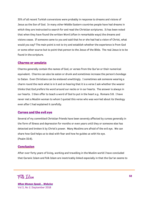35% of all recent Turkish conversions were probably in response to dreams and visions of Jesus as the Son of God. In many other Middle Eastern countries people have had dreams in which they are instructed to search for and read the Christian scriptures. It has been noted that when they have found the written Word (often in remarkable ways) the dreams and visions cease. If someone came to you and said that he or she had had a vision of Christ, what would you say? The main point is not to try and establish whether the experience is from God or some other source but to point that person to the Jesus of the Bible. The real Jesus is to be found in the scripture.

## **Charms or amulets**

Charms generally contain the names of God, or verses from the Qur'an or their numerical equivalent. Charms can also be eaten or drunk and sometimes increase the person's bondage to Satan. Even Christians can be enslaved unwittingly. I sometimes ask someone wearing a charm round the neck what is in it and on hearing that it is a verse I ask whether the wearer thinks that God prefers his word around our necks or in our hearts. The answer is always in our hearts. I then offer to teach a word of God to put in the heart e.g. Romans 5:8. I have never met a Muslim woman to whom I quoted this verse who was worried about its theology even after I had explained it carefully.

## **Curses and the evil eye**

Several of my committed Christian friends have been severely affected by curses generally in the form of illness and depression for months or even years until they or someone else has detected and broken it by Christ's power. Many Muslims are afraid of the evil eye. We can share how God helps us to deal with fear and how he guides us with his eye. (Psalm 32:8).

#### **Conclusion**

After over forty years of living, working and travelling in the Muslim world I have concluded that Quranic Islam and folk Islam are inextricably linked especially in that the Qur'an seems to

Folk Islam